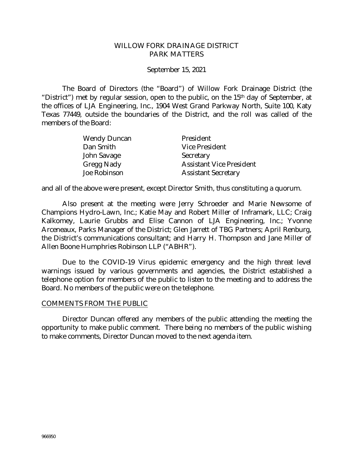#### WILLOW FORK DRAINAGE DISTRICT PARK MATTERS

September 15, 2021

The Board of Directors (the "Board") of Willow Fork Drainage District (the "District") met by regular session, open to the public, on the 15th day of September, at the offices of LJA Engineering, Inc., 1904 West Grand Parkway North, Suite 100, Katy Texas 77449, outside the boundaries of the District, and the roll was called of the members of the Board:

| <b>Wendy Duncan</b> | President                       |
|---------------------|---------------------------------|
| Dan Smith           | <b>Vice President</b>           |
| John Savage         | Secretary                       |
| <b>Gregg Nady</b>   | <b>Assistant Vice President</b> |
| Joe Robinson        | <b>Assistant Secretary</b>      |

and all of the above were present, except Director Smith, thus constituting a quorum.

Also present at the meeting were Jerry Schroeder and Marie Newsome of Champions Hydro-Lawn, Inc.; Katie May and Robert Miller of Inframark, LLC; Craig Kalkomey, Laurie Grubbs and Elise Cannon of LJA Engineering, Inc.; Yvonne Arceneaux, Parks Manager of the District; Glen Jarrett of TBG Partners; April Renburg, the District's communications consultant; and Harry H. Thompson and Jane Miller of Allen Boone Humphries Robinson LLP ("ABHR").

Due to the COVID-19 Virus epidemic emergency and the high threat level warnings issued by various governments and agencies, the District established a telephone option for members of the public to listen to the meeting and to address the Board. No members of the public were on the telephone.

#### COMMENTS FROM THE PUBLIC

Director Duncan offered any members of the public attending the meeting the opportunity to make public comment. There being no members of the public wishing to make comments, Director Duncan moved to the next agenda item.